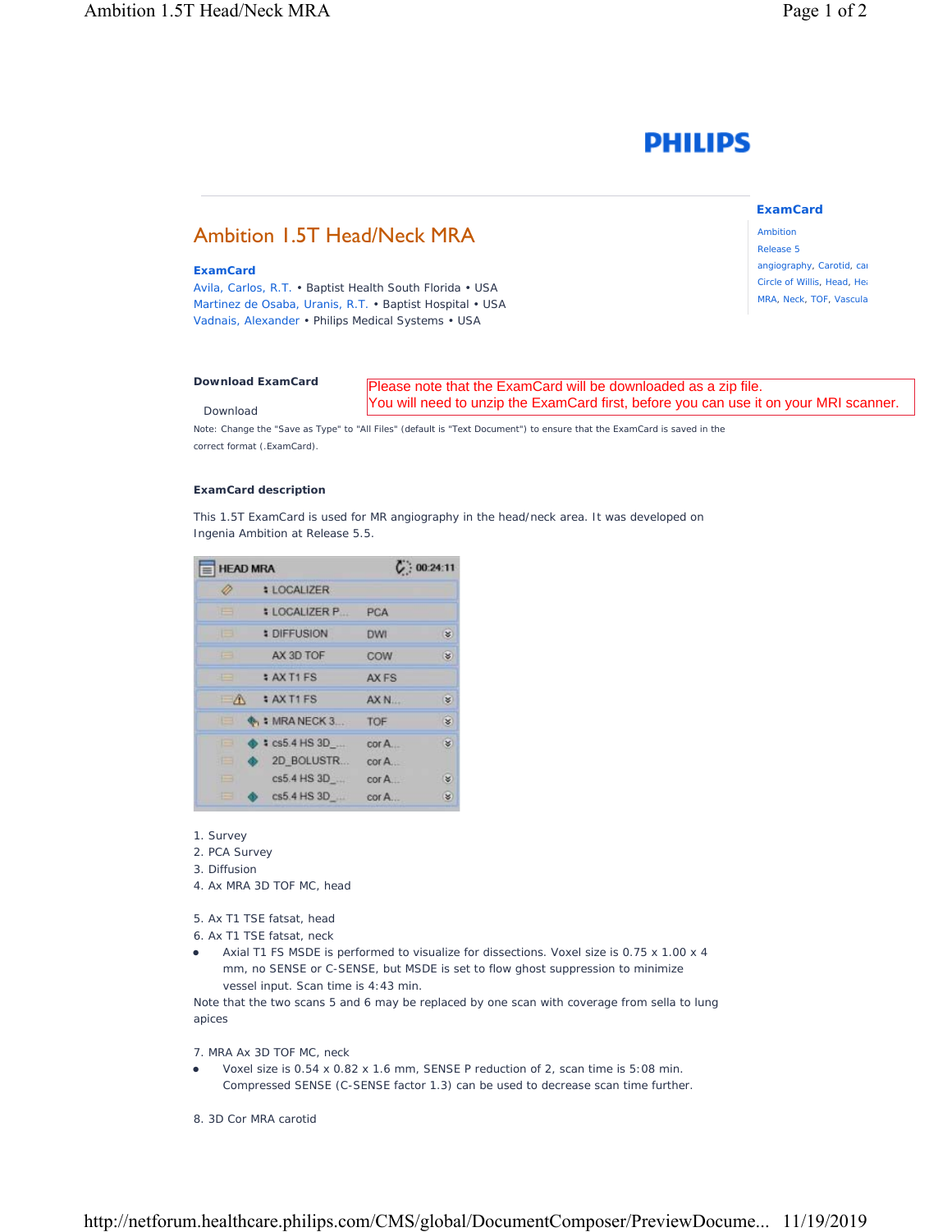# **PHILIPS**

## Ambition 1.5T Head/Neck MRA

### **ExamCard**

Avila, Carlos, R.T. • Baptist Health South Florida • USA Martinez de Osaba, Uranis, R.T. • Baptist Hospital • USA Vadnais, Alexander • Philips Medical Systems • USA

### **[Download ExamCard](https://www.philips.com/c-dam/b2bhc/master/sites/netforum/zips/head-mra.zip)** Download Please note that the ExamCard will be downloaded as a zip file. You will need to unzip the ExamCard first, before you can use it on your MRI scanner.

Note: Change the "Save as Type" to "All Files" (default is "Text Document") to ensure that the ExamCard is saved in the correct format (.ExamCard).

### **ExamCard description**

This 1.5T ExamCard is used for MR angiography in the head/neck area. It was developed on Ingenia Ambition at Release 5.5.

| <b>HEAD MRA</b>          |                          | C: 00:24:11            |                      |
|--------------------------|--------------------------|------------------------|----------------------|
|                          | <b># LOCALIZER</b>       |                        |                      |
| <b>TEST</b>              | <b>: LOCALIZER P</b>     | PCA                    |                      |
| <b>IEB</b>               | <b># DIFFUSION</b>       | DWI <sup>1</sup>       | S.                   |
| <b>Ford</b>              | AX 3D TOF                | COW                    | $\ddot{\mathbf{v}}$  |
| 583                      | : AX T1 FS               | AX FS                  |                      |
| $-\Lambda$               | # AX T1 FS               | AX <sub>N</sub>        | Ð                    |
| 18 M                     | $\bullet$ , : MRA NECK 3 | TOF                    | $\hat{\mathbf{x}}$   |
| e                        | $\bullet$ : cs5.4 HS 3D  | cor A                  | s                    |
|                          | 2D BOLUSTR               | $cor A$ .              |                      |
| $\overline{\phantom{0}}$ | cs5.4 HS 3D              | $\operatorname{cor} A$ | $\tilde{\mathbf{z}}$ |
| ⊟                        | $cs5.4$ HS $3D$          | corA                   | S.                   |

- 1. Survey
- 2. PCA Survey
- 3. Diffusion
- 4. Ax MRA 3D TOF MC, head
- 5. Ax T1 TSE fatsat, head
- 6. Ax T1 TSE fatsat, neck
- Axial T1 FS MSDE is performed to visualize for dissections. Voxel size is 0.75 x 1.00 x 4 mm, no SENSE or C-SENSE, but MSDE is set to flow ghost suppression to minimize vessel input. Scan time is 4:43 min.

Note that the two scans 5 and 6 may be replaced by one scan with coverage from sella to lung apices

7. MRA Ax 3D TOF MC, neck

- Voxel size is 0.54 x 0.82 x 1.6 mm, SENSE P reduction of 2, scan time is 5:08 min. Compressed SENSE (C-SENSE factor 1.3) can be used to decrease scan time further.
- 8. 3D Cor MRA carotid

### **ExamCard**

Ambition Release 5 angiography, Carotid, car Circle of Willis, Head, Hea MRA, Neck, TOF, Vascula